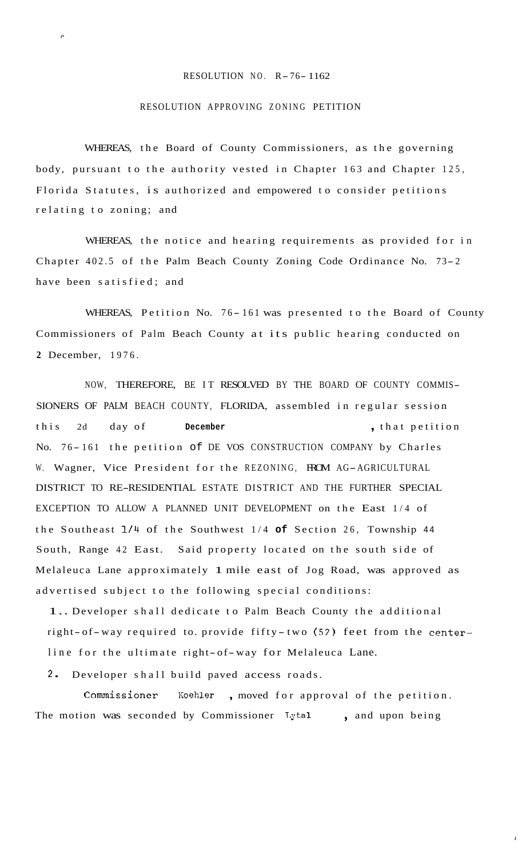## RESOLUTION NO. R-76- 1162

## RESOLUTION APPROVING ZONING PETITION

**P** 

WHEREAS, the Board of County Commissioners, as the governing body, pursuant to the authority vested in Chapter 163 and Chapter 125, Florida Statutes, is authorized and empowered to consider petitions relating to zoning; and

WHEREAS, the notice and hearing requirements as provided for in Chapter 402.5 of the Palm Beach County Zoning Code Ordinance No. 73-2 have been satisfied; and

WHEREAS, Petition No. 76-161 was presented to the Board of County Commissioners of Palm Beach County at its public hearing conducted on **2** December, 1976.

NOW, THEREFORE, BE IT RESOLVED BY THE BOARD OF COUNTY COMMIS-SIONERS OF PALM BEACH COUNTY, FLORIDA, assembled in regular session this 2d day of **December** , that petition No. 76-161 the petition of DE VOS CONSTRUCTION COMPANY by Charles W. Wagner, Vice President for the REZONING, FROM AG-AGRICULTURAL DISTRICT TO RE-RESIDENTIAL ESTATE DISTRICT AND THE FURTHER SPECIAL EXCEPTION TO ALLOW A PLANNED UNIT DEVELOPMENT on the East 1/4 of the Southeast 1/4 of the Southwest 1/4 **of** Section 26, Township <sup>44</sup> South, Range 42 East. Said property located on the south side of Melaleuca Lane approximately 1 mile east of Jog Road, was approved as advertised subject to the following special conditions:

1.. Developer shall dedicate to Palm Beach County the additional right- of- way required to. provide fifty -two (52) feet from the centerline for the ultimate right- of-way for Melaleuca Lane.

2. Developer shall build paved access roads.

Commissioner Koehler, moved for approval of the petition. The motion was seconded by Commissioner Lytal, and upon being